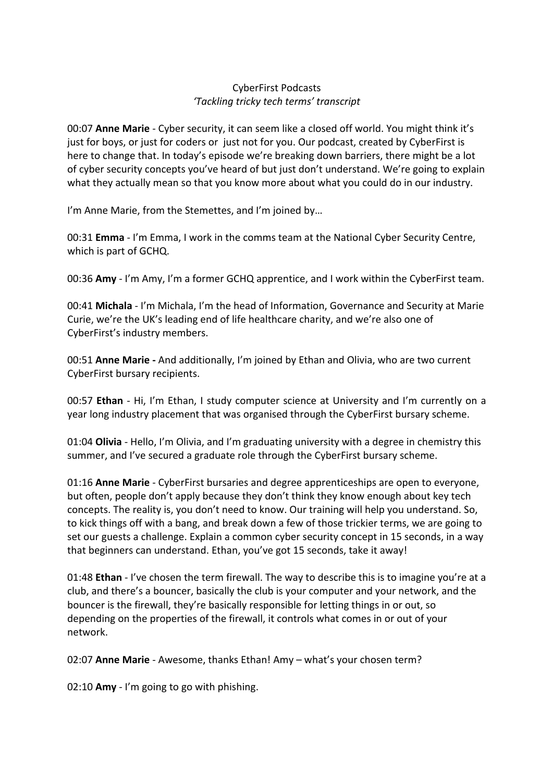## CyberFirst Podcasts *'Tackling tricky tech terms' transcript*

00:07 **Anne Marie** - Cyber security, it can seem like a closed off world. You might think it's just for boys, or just for coders or just not for you. Our podcast, created by CyberFirst is here to change that. In today's episode we're breaking down barriers, there might be a lot of cyber security concepts you've heard of but just don't understand. We're going to explain what they actually mean so that you know more about what you could do in our industry.

I'm Anne Marie, from the Stemettes, and I'm joined by…

00:31 **Emma** - I'm Emma, I work in the comms team at the National Cyber Security Centre, which is part of GCHQ.

00:36 **Amy** - I'm Amy, I'm a former GCHQ apprentice, and I work within the CyberFirst team.

00:41 **Michala** - I'm Michala, I'm the head of Information, Governance and Security at Marie Curie, we're the UK's leading end of life healthcare charity, and we're also one of CyberFirst's industry members.

00:51 **Anne Marie -** And additionally, I'm joined by Ethan and Olivia, who are two current CyberFirst bursary recipients.

00:57 **Ethan** - Hi, I'm Ethan, I study computer science at University and I'm currently on a year long industry placement that was organised through the CyberFirst bursary scheme.

01:04 **Olivia** - Hello, I'm Olivia, and I'm graduating university with a degree in chemistry this summer, and I've secured a graduate role through the CyberFirst bursary scheme.

01:16 **Anne Marie** - CyberFirst bursaries and degree apprenticeships are open to everyone, but often, people don't apply because they don't think they know enough about key tech concepts. The reality is, you don't need to know. Our training will help you understand. So, to kick things off with a bang, and break down a few of those trickier terms, we are going to set our guests a challenge. Explain a common cyber security concept in 15 seconds, in a way that beginners can understand. Ethan, you've got 15 seconds, take it away!

01:48 **Ethan** - I've chosen the term firewall. The way to describe this is to imagine you're at a club, and there's a bouncer, basically the club is your computer and your network, and the bouncer is the firewall, they're basically responsible for letting things in or out, so depending on the properties of the firewall, it controls what comes in or out of your network.

02:07 **Anne Marie** - Awesome, thanks Ethan! Amy – what's your chosen term?

02:10 **Amy** - I'm going to go with phishing.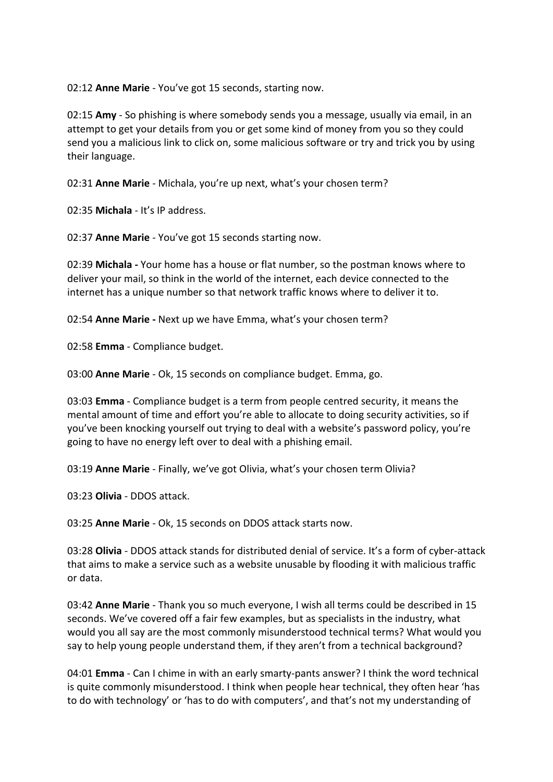02:12 **Anne Marie** - You've got 15 seconds, starting now.

02:15 **Amy** - So phishing is where somebody sends you a message, usually via email, in an attempt to get your details from you or get some kind of money from you so they could send you a malicious link to click on, some malicious software or try and trick you by using their language.

02:31 **Anne Marie** - Michala, you're up next, what's your chosen term?

02:35 **Michala** - It's IP address.

02:37 **Anne Marie** - You've got 15 seconds starting now.

02:39 **Michala -** Your home has a house or flat number, so the postman knows where to deliver your mail, so think in the world of the internet, each device connected to the internet has a unique number so that network traffic knows where to deliver it to.

02:54 **Anne Marie -** Next up we have Emma, what's your chosen term?

02:58 **Emma** - Compliance budget.

03:00 **Anne Marie** - Ok, 15 seconds on compliance budget. Emma, go.

03:03 **Emma** - Compliance budget is a term from people centred security, it means the mental amount of time and effort you're able to allocate to doing security activities, so if you've been knocking yourself out trying to deal with a website's password policy, you're going to have no energy left over to deal with a phishing email.

03:19 **Anne Marie** - Finally, we've got Olivia, what's your chosen term Olivia?

03:23 **Olivia** - DDOS attack.

03:25 **Anne Marie** - Ok, 15 seconds on DDOS attack starts now.

03:28 **Olivia** - DDOS attack stands for distributed denial of service. It's a form of cyber-attack that aims to make a service such as a website unusable by flooding it with malicious traffic or data.

03:42 **Anne Marie** - Thank you so much everyone, I wish all terms could be described in 15 seconds. We've covered off a fair few examples, but as specialists in the industry, what would you all say are the most commonly misunderstood technical terms? What would you say to help young people understand them, if they aren't from a technical background?

04:01 **Emma** - Can I chime in with an early smarty-pants answer? I think the word technical is quite commonly misunderstood. I think when people hear technical, they often hear 'has to do with technology' or 'has to do with computers', and that's not my understanding of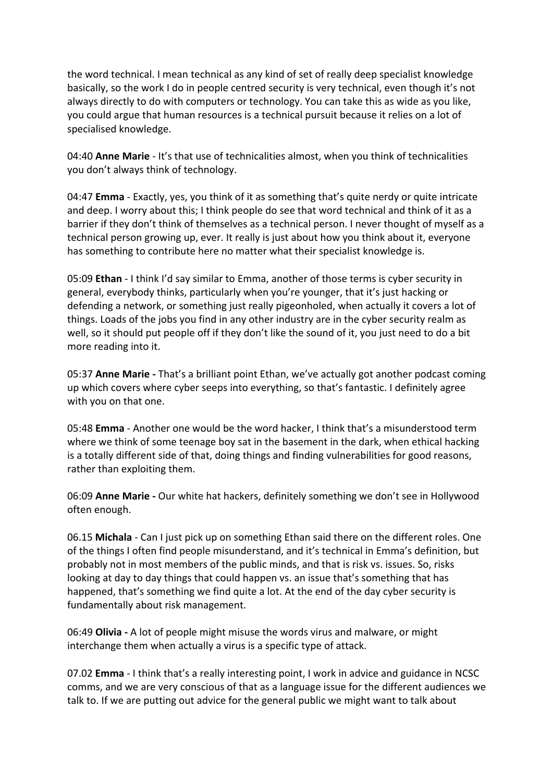the word technical. I mean technical as any kind of set of really deep specialist knowledge basically, so the work I do in people centred security is very technical, even though it's not always directly to do with computers or technology. You can take this as wide as you like, you could argue that human resources is a technical pursuit because it relies on a lot of specialised knowledge.

04:40 **Anne Marie** - It's that use of technicalities almost, when you think of technicalities you don't always think of technology.

04:47 **Emma** - Exactly, yes, you think of it as something that's quite nerdy or quite intricate and deep. I worry about this; I think people do see that word technical and think of it as a barrier if they don't think of themselves as a technical person. I never thought of myself as a technical person growing up, ever. It really is just about how you think about it, everyone has something to contribute here no matter what their specialist knowledge is.

05:09 **Ethan** - I think I'd say similar to Emma, another of those terms is cyber security in general, everybody thinks, particularly when you're younger, that it's just hacking or defending a network, or something just really pigeonholed, when actually it covers a lot of things. Loads of the jobs you find in any other industry are in the cyber security realm as well, so it should put people off if they don't like the sound of it, you just need to do a bit more reading into it.

05:37 **Anne Marie -** That's a brilliant point Ethan, we've actually got another podcast coming up which covers where cyber seeps into everything, so that's fantastic. I definitely agree with you on that one.

05:48 **Emma** - Another one would be the word hacker, I think that's a misunderstood term where we think of some teenage boy sat in the basement in the dark, when ethical hacking is a totally different side of that, doing things and finding vulnerabilities for good reasons, rather than exploiting them.

06:09 **Anne Marie -** Our white hat hackers, definitely something we don't see in Hollywood often enough.

06.15 **Michala** - Can I just pick up on something Ethan said there on the different roles. One of the things I often find people misunderstand, and it's technical in Emma's definition, but probably not in most members of the public minds, and that is risk vs. issues. So, risks looking at day to day things that could happen vs. an issue that's something that has happened, that's something we find quite a lot. At the end of the day cyber security is fundamentally about risk management.

06:49 **Olivia -** A lot of people might misuse the words virus and malware, or might interchange them when actually a virus is a specific type of attack.

07.02 **Emma** - I think that's a really interesting point, I work in advice and guidance in NCSC comms, and we are very conscious of that as a language issue for the different audiences we talk to. If we are putting out advice for the general public we might want to talk about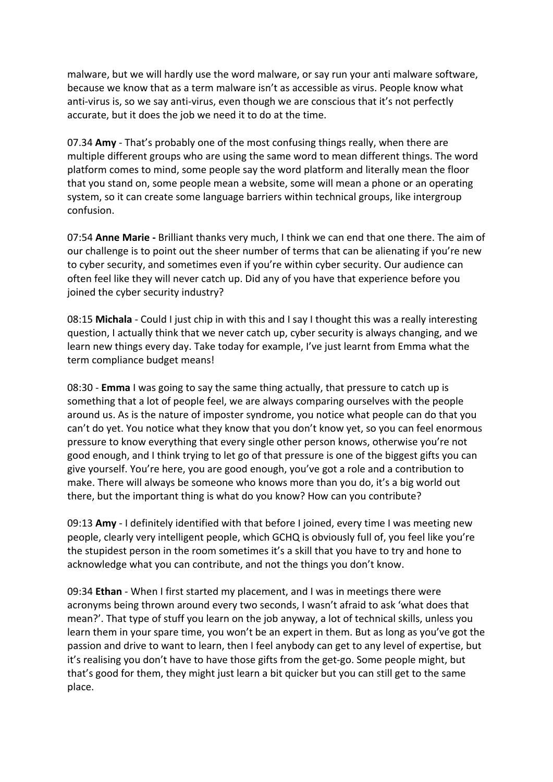malware, but we will hardly use the word malware, or say run your anti malware software, because we know that as a term malware isn't as accessible as virus. People know what anti-virus is, so we say anti-virus, even though we are conscious that it's not perfectly accurate, but it does the job we need it to do at the time.

07.34 **Amy** - That's probably one of the most confusing things really, when there are multiple different groups who are using the same word to mean different things. The word platform comes to mind, some people say the word platform and literally mean the floor that you stand on, some people mean a website, some will mean a phone or an operating system, so it can create some language barriers within technical groups, like intergroup confusion.

07:54 **Anne Marie -** Brilliant thanks very much, I think we can end that one there. The aim of our challenge is to point out the sheer number of terms that can be alienating if you're new to cyber security, and sometimes even if you're within cyber security. Our audience can often feel like they will never catch up. Did any of you have that experience before you joined the cyber security industry?

08:15 **Michala** - Could I just chip in with this and I say I thought this was a really interesting question, I actually think that we never catch up, cyber security is always changing, and we learn new things every day. Take today for example, I've just learnt from Emma what the term compliance budget means!

08:30 - **Emma** I was going to say the same thing actually, that pressure to catch up is something that a lot of people feel, we are always comparing ourselves with the people around us. As is the nature of imposter syndrome, you notice what people can do that you can't do yet. You notice what they know that you don't know yet, so you can feel enormous pressure to know everything that every single other person knows, otherwise you're not good enough, and I think trying to let go of that pressure is one of the biggest gifts you can give yourself. You're here, you are good enough, you've got a role and a contribution to make. There will always be someone who knows more than you do, it's a big world out there, but the important thing is what do you know? How can you contribute?

09:13 **Amy** - I definitely identified with that before I joined, every time I was meeting new people, clearly very intelligent people, which GCHQ is obviously full of, you feel like you're the stupidest person in the room sometimes it's a skill that you have to try and hone to acknowledge what you can contribute, and not the things you don't know.

09:34 **Ethan** - When I first started my placement, and I was in meetings there were acronyms being thrown around every two seconds, I wasn't afraid to ask 'what does that mean?'. That type of stuff you learn on the job anyway, a lot of technical skills, unless you learn them in your spare time, you won't be an expert in them. But as long as you've got the passion and drive to want to learn, then I feel anybody can get to any level of expertise, but it's realising you don't have to have those gifts from the get-go. Some people might, but that's good for them, they might just learn a bit quicker but you can still get to the same place.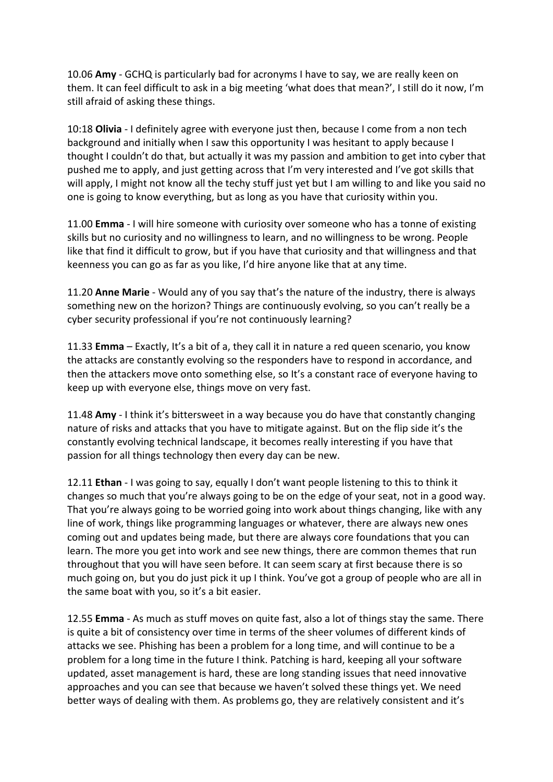10.06 **Amy** - GCHQ is particularly bad for acronyms I have to say, we are really keen on them. It can feel difficult to ask in a big meeting 'what does that mean?', I still do it now, I'm still afraid of asking these things.

10:18 **Olivia** - I definitely agree with everyone just then, because I come from a non tech background and initially when I saw this opportunity I was hesitant to apply because I thought I couldn't do that, but actually it was my passion and ambition to get into cyber that pushed me to apply, and just getting across that I'm very interested and I've got skills that will apply, I might not know all the techy stuff just yet but I am willing to and like you said no one is going to know everything, but as long as you have that curiosity within you.

11.00 **Emma** - I will hire someone with curiosity over someone who has a tonne of existing skills but no curiosity and no willingness to learn, and no willingness to be wrong. People like that find it difficult to grow, but if you have that curiosity and that willingness and that keenness you can go as far as you like, I'd hire anyone like that at any time.

11.20 **Anne Marie** - Would any of you say that's the nature of the industry, there is always something new on the horizon? Things are continuously evolving, so you can't really be a cyber security professional if you're not continuously learning?

11.33 **Emma** – Exactly, It's a bit of a, they call it in nature a red queen scenario, you know the attacks are constantly evolving so the responders have to respond in accordance, and then the attackers move onto something else, so It's a constant race of everyone having to keep up with everyone else, things move on very fast.

11.48 **Amy** - I think it's bittersweet in a way because you do have that constantly changing nature of risks and attacks that you have to mitigate against. But on the flip side it's the constantly evolving technical landscape, it becomes really interesting if you have that passion for all things technology then every day can be new.

12.11 **Ethan** - I was going to say, equally I don't want people listening to this to think it changes so much that you're always going to be on the edge of your seat, not in a good way. That you're always going to be worried going into work about things changing, like with any line of work, things like programming languages or whatever, there are always new ones coming out and updates being made, but there are always core foundations that you can learn. The more you get into work and see new things, there are common themes that run throughout that you will have seen before. It can seem scary at first because there is so much going on, but you do just pick it up I think. You've got a group of people who are all in the same boat with you, so it's a bit easier.

12.55 **Emma** - As much as stuff moves on quite fast, also a lot of things stay the same. There is quite a bit of consistency over time in terms of the sheer volumes of different kinds of attacks we see. Phishing has been a problem for a long time, and will continue to be a problem for a long time in the future I think. Patching is hard, keeping all your software updated, asset management is hard, these are long standing issues that need innovative approaches and you can see that because we haven't solved these things yet. We need better ways of dealing with them. As problems go, they are relatively consistent and it's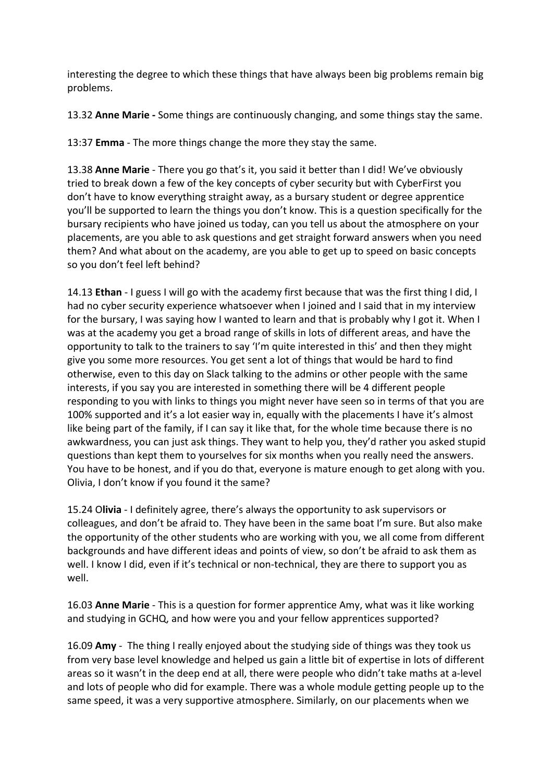interesting the degree to which these things that have always been big problems remain big problems.

13.32 **Anne Marie -** Some things are continuously changing, and some things stay the same.

13:37 **Emma** - The more things change the more they stay the same.

13.38 **Anne Marie** - There you go that's it, you said it better than I did! We've obviously tried to break down a few of the key concepts of cyber security but with CyberFirst you don't have to know everything straight away, as a bursary student or degree apprentice you'll be supported to learn the things you don't know. This is a question specifically for the bursary recipients who have joined us today, can you tell us about the atmosphere on your placements, are you able to ask questions and get straight forward answers when you need them? And what about on the academy, are you able to get up to speed on basic concepts so you don't feel left behind?

14.13 **Ethan** - I guess I will go with the academy first because that was the first thing I did, I had no cyber security experience whatsoever when I joined and I said that in my interview for the bursary, I was saying how I wanted to learn and that is probably why I got it. When I was at the academy you get a broad range of skills in lots of different areas, and have the opportunity to talk to the trainers to say 'I'm quite interested in this' and then they might give you some more resources. You get sent a lot of things that would be hard to find otherwise, even to this day on Slack talking to the admins or other people with the same interests, if you say you are interested in something there will be 4 different people responding to you with links to things you might never have seen so in terms of that you are 100% supported and it's a lot easier way in, equally with the placements I have it's almost like being part of the family, if I can say it like that, for the whole time because there is no awkwardness, you can just ask things. They want to help you, they'd rather you asked stupid questions than kept them to yourselves for six months when you really need the answers. You have to be honest, and if you do that, everyone is mature enough to get along with you. Olivia, I don't know if you found it the same?

15.24 O**livia** - I definitely agree, there's always the opportunity to ask supervisors or colleagues, and don't be afraid to. They have been in the same boat I'm sure. But also make the opportunity of the other students who are working with you, we all come from different backgrounds and have different ideas and points of view, so don't be afraid to ask them as well. I know I did, even if it's technical or non-technical, they are there to support you as well.

16.03 **Anne Marie** - This is a question for former apprentice Amy, what was it like working and studying in GCHQ, and how were you and your fellow apprentices supported?

16.09 **Amy** - The thing I really enjoyed about the studying side of things was they took us from very base level knowledge and helped us gain a little bit of expertise in lots of different areas so it wasn't in the deep end at all, there were people who didn't take maths at a-level and lots of people who did for example. There was a whole module getting people up to the same speed, it was a very supportive atmosphere. Similarly, on our placements when we